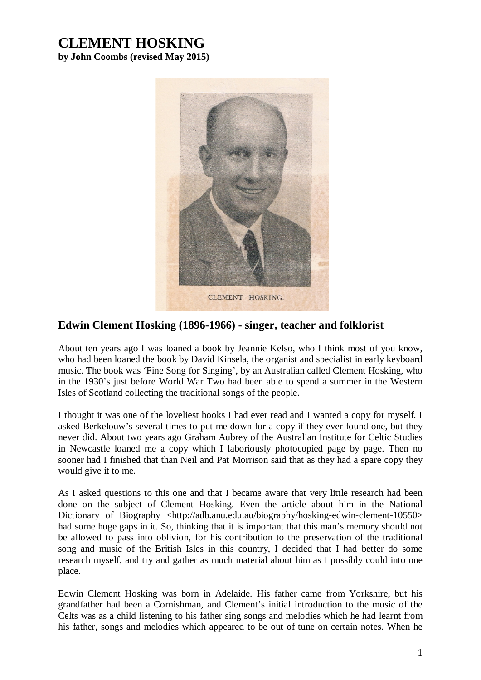## **CLEMENT HOSKING**

**by John Coombs (revised May 2015)**



## **Edwin Clement Hosking (1896-1966) - singer, teacher and folklorist**

About ten years ago I was loaned a book by Jeannie Kelso, who I think most of you know, who had been loaned the book by David Kinsela, the organist and specialist in early keyboard music. The book was 'Fine Song for Singing', by an Australian called Clement Hosking, who in the 1930's just before World War Two had been able to spend a summer in the Western Isles of Scotland collecting the traditional songs of the people.

I thought it was one of the loveliest books I had ever read and I wanted a copy for myself. I asked Berkelouw's several times to put me down for a copy if they ever found one, but they never did. About two years ago Graham Aubrey of the Australian Institute for Celtic Studies in Newcastle loaned me a copy which I laboriously photocopied page by page. Then no sooner had I finished that than Neil and Pat Morrison said that as they had a spare copy they would give it to me.

As I asked questions to this one and that I became aware that very little research had been done on the subject of Clement Hosking. Even the article about him in the National Dictionary of Biography <http://adb.anu.edu.au/biography/hosking-edwin-clement-10550> had some huge gaps in it. So, thinking that it is important that this man's memory should not be allowed to pass into oblivion, for his contribution to the preservation of the traditional song and music of the British Isles in this country, I decided that I had better do some research myself, and try and gather as much material about him as I possibly could into one place.

Edwin Clement Hosking was born in Adelaide. His father came from Yorkshire, but his grandfather had been a Cornishman, and Clement's initial introduction to the music of the Celts was as a child listening to his father sing songs and melodies which he had learnt from his father, songs and melodies which appeared to be out of tune on certain notes. When he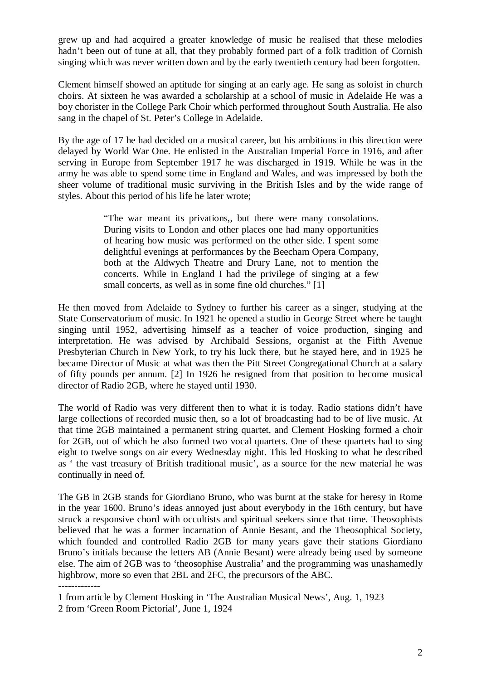grew up and had acquired a greater knowledge of music he realised that these melodies hadn't been out of tune at all, that they probably formed part of a folk tradition of Cornish singing which was never written down and by the early twentieth century had been forgotten.

Clement himself showed an aptitude for singing at an early age. He sang as soloist in church choirs. At sixteen he was awarded a scholarship at a school of music in Adelaide He was a boy chorister in the College Park Choir which performed throughout South Australia. He also sang in the chapel of St. Peter's College in Adelaide.

By the age of 17 he had decided on a musical career, but his ambitions in this direction were delayed by World War One. He enlisted in the Australian Imperial Force in 1916, and after serving in Europe from September 1917 he was discharged in 1919. While he was in the army he was able to spend some time in England and Wales, and was impressed by both the sheer volume of traditional music surviving in the British Isles and by the wide range of styles. About this period of his life he later wrote;

> "The war meant its privations,, but there were many consolations. During visits to London and other places one had many opportunities of hearing how music was performed on the other side. I spent some delightful evenings at performances by the Beecham Opera Company, both at the Aldwych Theatre and Drury Lane, not to mention the concerts. While in England I had the privilege of singing at a few small concerts, as well as in some fine old churches." [1]

He then moved from Adelaide to Sydney to further his career as a singer, studying at the State Conservatorium of music. In 1921 he opened a studio in George Street where he taught singing until 1952, advertising himself as a teacher of voice production, singing and interpretation. He was advised by Archibald Sessions, organist at the Fifth Avenue Presbyterian Church in New York, to try his luck there, but he stayed here, and in 1925 he became Director of Music at what was then the Pitt Street Congregational Church at a salary of fifty pounds per annum. [2] In 1926 he resigned from that position to become musical director of Radio 2GB, where he stayed until 1930.

The world of Radio was very different then to what it is today. Radio stations didn't have large collections of recorded music then, so a lot of broadcasting had to be of live music. At that time 2GB maintained a permanent string quartet, and Clement Hosking formed a choir for 2GB, out of which he also formed two vocal quartets. One of these quartets had to sing eight to twelve songs on air every Wednesday night. This led Hosking to what he described as ' the vast treasury of British traditional music', as a source for the new material he was continually in need of.

The GB in 2GB stands for Giordiano Bruno, who was burnt at the stake for heresy in Rome in the year 1600. Bruno's ideas annoyed just about everybody in the 16th century, but have struck a responsive chord with occultists and spiritual seekers since that time. Theosophists believed that he was a former incarnation of Annie Besant, and the Theosophical Society, which founded and controlled Radio 2GB for many years gave their stations Giordiano Bruno's initials because the letters AB (Annie Besant) were already being used by someone else. The aim of 2GB was to 'theosophise Australia' and the programming was unashamedly highbrow, more so even that 2BL and 2FC, the precursors of the ABC.

-------------

<sup>1</sup> from article by Clement Hosking in 'The Australian Musical News', Aug. 1, 1923 2 from 'Green Room Pictorial', June 1, 1924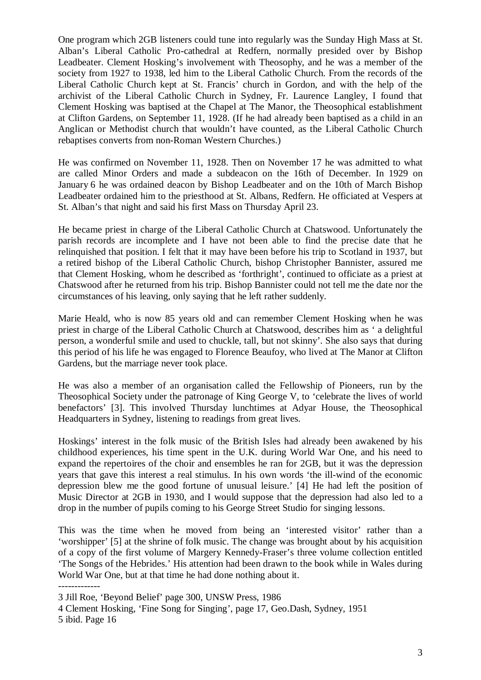One program which 2GB listeners could tune into regularly was the Sunday High Mass at St. Alban's Liberal Catholic Pro-cathedral at Redfern, normally presided over by Bishop Leadbeater. Clement Hosking's involvement with Theosophy, and he was a member of the society from 1927 to 1938, led him to the Liberal Catholic Church. From the records of the Liberal Catholic Church kept at St. Francis' church in Gordon, and with the help of the archivist of the Liberal Catholic Church in Sydney, Fr. Laurence Langley, I found that Clement Hosking was baptised at the Chapel at The Manor, the Theosophical establishment at Clifton Gardens, on September 11, 1928. (If he had already been baptised as a child in an Anglican or Methodist church that wouldn't have counted, as the Liberal Catholic Church rebaptises converts from non-Roman Western Churches.)

He was confirmed on November 11, 1928. Then on November 17 he was admitted to what are called Minor Orders and made a subdeacon on the 16th of December. In 1929 on January 6 he was ordained deacon by Bishop Leadbeater and on the 10th of March Bishop Leadbeater ordained him to the priesthood at St. Albans, Redfern. He officiated at Vespers at St. Alban's that night and said his first Mass on Thursday April 23.

He became priest in charge of the Liberal Catholic Church at Chatswood. Unfortunately the parish records are incomplete and I have not been able to find the precise date that he relinquished that position. I felt that it may have been before his trip to Scotland in 1937, but a retired bishop of the Liberal Catholic Church, bishop Christopher Bannister, assured me that Clement Hosking, whom he described as 'forthright', continued to officiate as a priest at Chatswood after he returned from his trip. Bishop Bannister could not tell me the date nor the circumstances of his leaving, only saying that he left rather suddenly.

Marie Heald, who is now 85 years old and can remember Clement Hosking when he was priest in charge of the Liberal Catholic Church at Chatswood, describes him as ' a delightful person, a wonderful smile and used to chuckle, tall, but not skinny'. She also says that during this period of his life he was engaged to Florence Beaufoy, who lived at The Manor at Clifton Gardens, but the marriage never took place.

He was also a member of an organisation called the Fellowship of Pioneers, run by the Theosophical Society under the patronage of King George V, to 'celebrate the lives of world benefactors' [3]. This involved Thursday lunchtimes at Adyar House, the Theosophical Headquarters in Sydney, listening to readings from great lives.

Hoskings' interest in the folk music of the British Isles had already been awakened by his childhood experiences, his time spent in the U.K. during World War One, and his need to expand the repertoires of the choir and ensembles he ran for 2GB, but it was the depression years that gave this interest a real stimulus. In his own words 'the ill-wind of the economic depression blew me the good fortune of unusual leisure.' [4] He had left the position of Music Director at 2GB in 1930, and I would suppose that the depression had also led to a drop in the number of pupils coming to his George Street Studio for singing lessons.

This was the time when he moved from being an 'interested visitor' rather than a 'worshipper' [5] at the shrine of folk music. The change was brought about by his acquisition of a copy of the first volume of Margery Kennedy-Fraser's three volume collection entitled 'The Songs of the Hebrides.' His attention had been drawn to the book while in Wales during World War One, but at that time he had done nothing about it.

-------------

4 Clement Hosking, 'Fine Song for Singing', page 17, Geo.Dash, Sydney, 1951 5 ibid. Page 16

<sup>3</sup> Jill Roe, 'Beyond Belief' page 300, UNSW Press, 1986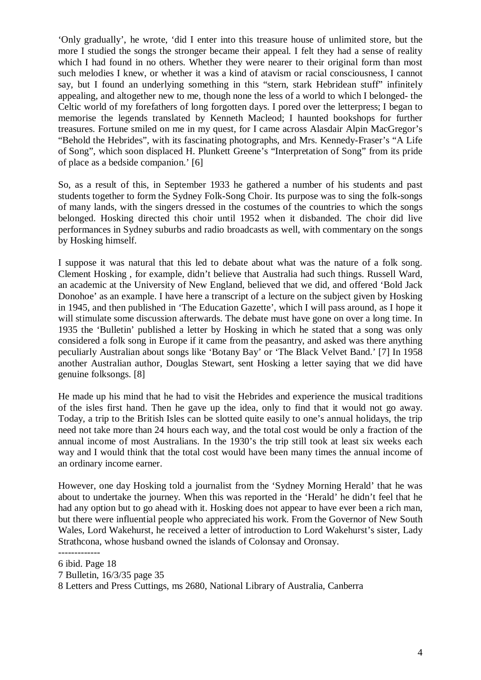'Only gradually', he wrote, 'did I enter into this treasure house of unlimited store, but the more I studied the songs the stronger became their appeal. I felt they had a sense of reality which I had found in no others. Whether they were nearer to their original form than most such melodies I knew, or whether it was a kind of atavism or racial consciousness, I cannot say, but I found an underlying something in this "stern, stark Hebridean stuff" infinitely appealing, and altogether new to me, though none the less of a world to which I belonged- the Celtic world of my forefathers of long forgotten days. I pored over the letterpress; I began to memorise the legends translated by Kenneth Macleod; I haunted bookshops for further treasures. Fortune smiled on me in my quest, for I came across Alasdair Alpin MacGregor's "Behold the Hebrides", with its fascinating photographs, and Mrs. Kennedy-Fraser's "A Life of Song", which soon displaced H. Plunkett Greene's "Interpretation of Song" from its pride of place as a bedside companion.' [6]

So, as a result of this, in September 1933 he gathered a number of his students and past students together to form the Sydney Folk-Song Choir. Its purpose was to sing the folk-songs of many lands, with the singers dressed in the costumes of the countries to which the songs belonged. Hosking directed this choir until 1952 when it disbanded. The choir did live performances in Sydney suburbs and radio broadcasts as well, with commentary on the songs by Hosking himself.

I suppose it was natural that this led to debate about what was the nature of a folk song. Clement Hosking , for example, didn't believe that Australia had such things. Russell Ward, an academic at the University of New England, believed that we did, and offered 'Bold Jack Donohoe' as an example. I have here a transcript of a lecture on the subject given by Hosking in 1945, and then published in 'The Education Gazette', which I will pass around, as I hope it will stimulate some discussion afterwards. The debate must have gone on over a long time. In 1935 the 'Bulletin' published a letter by Hosking in which he stated that a song was only considered a folk song in Europe if it came from the peasantry, and asked was there anything peculiarly Australian about songs like 'Botany Bay' or 'The Black Velvet Band.' [7] In 1958 another Australian author, Douglas Stewart, sent Hosking a letter saying that we did have genuine folksongs. [8]

He made up his mind that he had to visit the Hebrides and experience the musical traditions of the isles first hand. Then he gave up the idea, only to find that it would not go away. Today, a trip to the British Isles can be slotted quite easily to one's annual holidays, the trip need not take more than 24 hours each way, and the total cost would be only a fraction of the annual income of most Australians. In the 1930's the trip still took at least six weeks each way and I would think that the total cost would have been many times the annual income of an ordinary income earner.

However, one day Hosking told a journalist from the 'Sydney Morning Herald' that he was about to undertake the journey. When this was reported in the 'Herald' he didn't feel that he had any option but to go ahead with it. Hosking does not appear to have ever been a rich man, but there were influential people who appreciated his work. From the Governor of New South Wales, Lord Wakehurst, he received a letter of introduction to Lord Wakehurst's sister, Lady Strathcona, whose husband owned the islands of Colonsay and Oronsay.

<sup>-------------</sup> 6 ibid. Page 18

<sup>7</sup> Bulletin, 16/3/35 page 35

<sup>8</sup> Letters and Press Cuttings, ms 2680, National Library of Australia, Canberra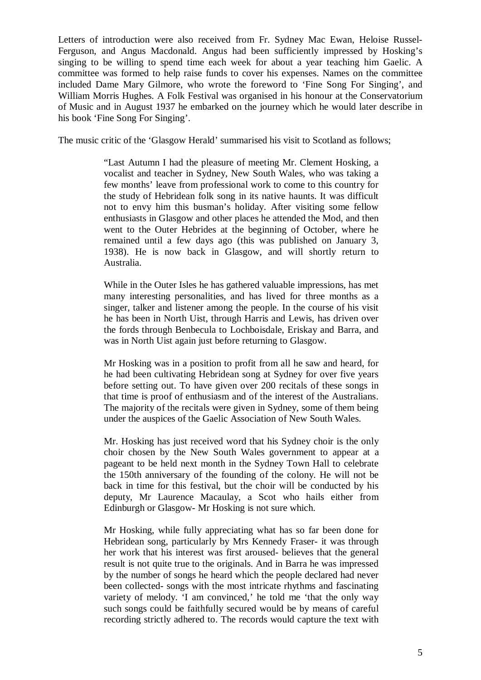Letters of introduction were also received from Fr. Sydney Mac Ewan, Heloise Russel-Ferguson, and Angus Macdonald. Angus had been sufficiently impressed by Hosking's singing to be willing to spend time each week for about a year teaching him Gaelic. A committee was formed to help raise funds to cover his expenses. Names on the committee included Dame Mary Gilmore, who wrote the foreword to 'Fine Song For Singing', and William Morris Hughes. A Folk Festival was organised in his honour at the Conservatorium of Music and in August 1937 he embarked on the journey which he would later describe in his book 'Fine Song For Singing'.

The music critic of the 'Glasgow Herald' summarised his visit to Scotland as follows;

"Last Autumn I had the pleasure of meeting Mr. Clement Hosking, a vocalist and teacher in Sydney, New South Wales, who was taking a few months' leave from professional work to come to this country for the study of Hebridean folk song in its native haunts. It was difficult not to envy him this busman's holiday. After visiting some fellow enthusiasts in Glasgow and other places he attended the Mod, and then went to the Outer Hebrides at the beginning of October, where he remained until a few days ago (this was published on January 3, 1938). He is now back in Glasgow, and will shortly return to Australia.

While in the Outer Isles he has gathered valuable impressions, has met many interesting personalities, and has lived for three months as a singer, talker and listener among the people. In the course of his visit he has been in North Uist, through Harris and Lewis, has driven over the fords through Benbecula to Lochboisdale, Eriskay and Barra, and was in North Uist again just before returning to Glasgow.

Mr Hosking was in a position to profit from all he saw and heard, for he had been cultivating Hebridean song at Sydney for over five years before setting out. To have given over 200 recitals of these songs in that time is proof of enthusiasm and of the interest of the Australians. The majority of the recitals were given in Sydney, some of them being under the auspices of the Gaelic Association of New South Wales.

Mr. Hosking has just received word that his Sydney choir is the only choir chosen by the New South Wales government to appear at a pageant to be held next month in the Sydney Town Hall to celebrate the 150th anniversary of the founding of the colony. He will not be back in time for this festival, but the choir will be conducted by his deputy, Mr Laurence Macaulay, a Scot who hails either from Edinburgh or Glasgow- Mr Hosking is not sure which.

Mr Hosking, while fully appreciating what has so far been done for Hebridean song, particularly by Mrs Kennedy Fraser- it was through her work that his interest was first aroused- believes that the general result is not quite true to the originals. And in Barra he was impressed by the number of songs he heard which the people declared had never been collected- songs with the most intricate rhythms and fascinating variety of melody. 'I am convinced,' he told me 'that the only way such songs could be faithfully secured would be by means of careful recording strictly adhered to. The records would capture the text with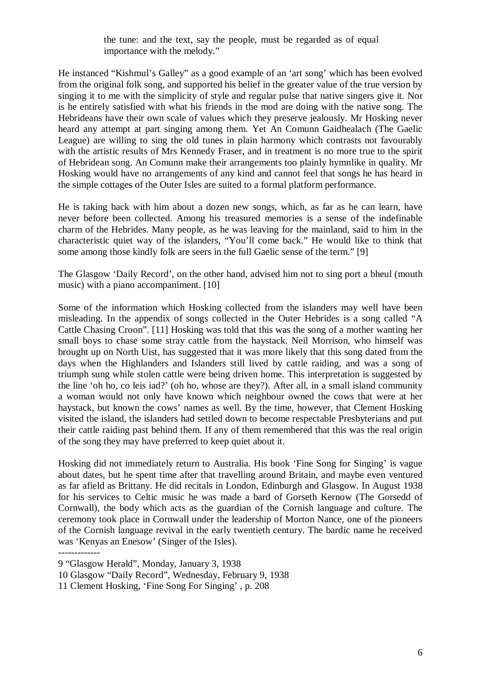the tune: and the text, say the people, must be regarded as of equal importance with the melody."

He instanced "Kishmul's Galley" as a good example of an 'art song' which has been evolved from the original folk song, and supported his belief in the greater value of the true version by singing it to me with the simplicity of style and regular pulse that native singers give it. Nor is he entirely satisfied with what his friends in the mod are doing with the native song. The Hebrideans have their own scale of values which they preserve jealously. Mr Hosking never heard any attempt at part singing among them. Yet An Comunn Gaidhealach (The Gaelic League) are willing to sing the old tunes in plain harmony which contrasts not favourably with the artistic results of Mrs Kennedy Fraser, and in treatment is no more true to the spirit of Hebridean song. An Comunn make their arrangements too plainly hymnlike in quality. Mr Hosking would have no arrangements of any kind and cannot feel that songs he has heard in the simple cottages of the Outer Isles are suited to a formal platform performance.

He is taking back with him about a dozen new songs, which, as far as he can learn, have never before been collected. Among his treasured memories is a sense of the indefinable charm of the Hebrides. Many people, as he was leaving for the mainland, said to him in the characteristic quiet way of the islanders, "You'll come back." He would like to think that some among those kindly folk are seers in the full Gaelic sense of the term." [9]

The Glasgow 'Daily Record', on the other hand, advised him not to sing port a bheul (mouth music) with a piano accompaniment. [10]

Some of the information which Hosking collected from the islanders may well have been misleading. In the appendix of songs collected in the Outer Hebrides is a song called "A Cattle Chasing Croon". [11] Hosking was told that this was the song of a mother wanting her small boys to chase some stray cattle from the haystack. Neil Morrison, who himself was brought up on North Uist, has suggested that it was more likely that this song dated from the days when the Highlanders and Islanders still lived by cattle raiding, and was a song of triumph sung while stolen cattle were being driven home. This interpretation is suggested by the line 'oh ho, co leis iad?' (oh ho, whose are they?). After all, in a small island community a woman would not only have known which neighbour owned the cows that were at her haystack, but known the cows' names as well. By the time, however, that Clement Hosking visited the island, the islanders had settled down to become respectable Presbyterians and put their cattle raiding past behind them. If any of them remembered that this was the real origin of the song they may have preferred to keep quiet about it.

Hosking did not immediately return to Australia. His book 'Fine Song for Singing' is vague about dates, but he spent time after that travelling around Britain, and maybe even ventured as far afield as Brittany. He did recitals in London, Edinburgh and Glasgow. In August 1938 for his services to Celtic music he was made a bard of Gorseth Kernow (The Gorsedd of Cornwall), the body which acts as the guardian of the Cornish language and culture. The ceremony took place in Cornwall under the leadership of Morton Nance, one of the pioneers of the Cornish language revival in the early twentieth century. The bardic name he received was 'Kenyas an Enesow' (Singer of the Isles).

<sup>-------------</sup> 9 "Glasgow Herald", Monday, January 3, 1938

<sup>10</sup> Glasgow "Daily Record", Wednesday, February 9, 1938

<sup>11</sup> Clement Hosking, 'Fine Song For Singing' , p. 208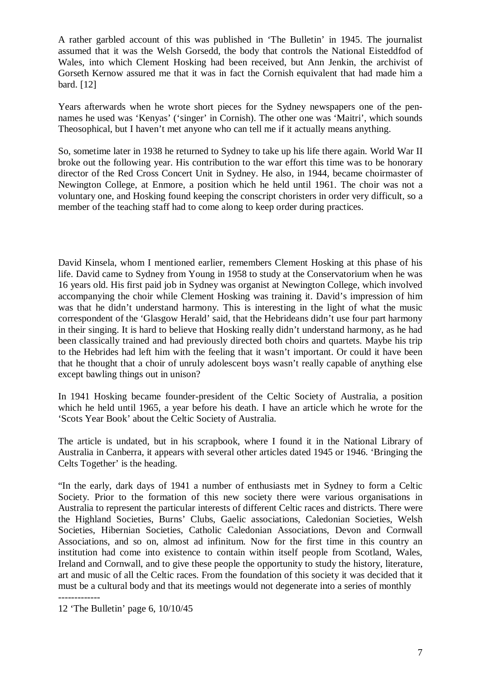A rather garbled account of this was published in 'The Bulletin' in 1945. The journalist assumed that it was the Welsh Gorsedd, the body that controls the National Eisteddfod of Wales, into which Clement Hosking had been received, but Ann Jenkin, the archivist of Gorseth Kernow assured me that it was in fact the Cornish equivalent that had made him a bard. [12]

Years afterwards when he wrote short pieces for the Sydney newspapers one of the pennames he used was 'Kenyas' ('singer' in Cornish). The other one was 'Maitri', which sounds Theosophical, but I haven't met anyone who can tell me if it actually means anything.

So, sometime later in 1938 he returned to Sydney to take up his life there again. World War II broke out the following year. His contribution to the war effort this time was to be honorary director of the Red Cross Concert Unit in Sydney. He also, in 1944, became choirmaster of Newington College, at Enmore, a position which he held until 1961. The choir was not a voluntary one, and Hosking found keeping the conscript choristers in order very difficult, so a member of the teaching staff had to come along to keep order during practices.

David Kinsela, whom I mentioned earlier, remembers Clement Hosking at this phase of his life. David came to Sydney from Young in 1958 to study at the Conservatorium when he was 16 years old. His first paid job in Sydney was organist at Newington College, which involved accompanying the choir while Clement Hosking was training it. David's impression of him was that he didn't understand harmony. This is interesting in the light of what the music correspondent of the 'Glasgow Herald' said, that the Hebrideans didn't use four part harmony in their singing. It is hard to believe that Hosking really didn't understand harmony, as he had been classically trained and had previously directed both choirs and quartets. Maybe his trip to the Hebrides had left him with the feeling that it wasn't important. Or could it have been that he thought that a choir of unruly adolescent boys wasn't really capable of anything else except bawling things out in unison?

In 1941 Hosking became founder-president of the Celtic Society of Australia, a position which he held until 1965, a year before his death. I have an article which he wrote for the 'Scots Year Book' about the Celtic Society of Australia.

The article is undated, but in his scrapbook, where I found it in the National Library of Australia in Canberra, it appears with several other articles dated 1945 or 1946. 'Bringing the Celts Together' is the heading.

"In the early, dark days of 1941 a number of enthusiasts met in Sydney to form a Celtic Society. Prior to the formation of this new society there were various organisations in Australia to represent the particular interests of different Celtic races and districts. There were the Highland Societies, Burns' Clubs, Gaelic associations, Caledonian Societies, Welsh Societies, Hibernian Societies, Catholic Caledonian Associations, Devon and Cornwall Associations, and so on, almost ad infinitum. Now for the first time in this country an institution had come into existence to contain within itself people from Scotland, Wales, Ireland and Cornwall, and to give these people the opportunity to study the history, literature, art and music of all the Celtic races. From the foundation of this society it was decided that it must be a cultural body and that its meetings would not degenerate into a series of monthly -------------

<sup>12 &#</sup>x27;The Bulletin' page 6, 10/10/45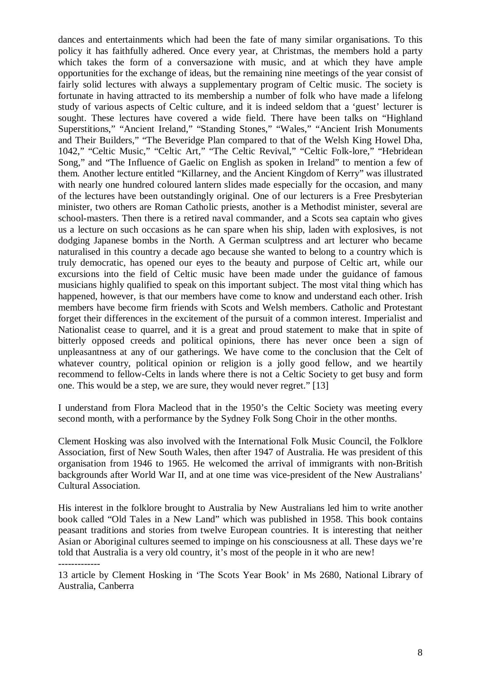dances and entertainments which had been the fate of many similar organisations. To this policy it has faithfully adhered. Once every year, at Christmas, the members hold a party which takes the form of a conversazione with music, and at which they have ample opportunities for the exchange of ideas, but the remaining nine meetings of the year consist of fairly solid lectures with always a supplementary program of Celtic music. The society is fortunate in having attracted to its membership a number of folk who have made a lifelong study of various aspects of Celtic culture, and it is indeed seldom that a 'guest' lecturer is sought. These lectures have covered a wide field. There have been talks on "Highland Superstitions," "Ancient Ireland," "Standing Stones," "Wales," "Ancient Irish Monuments and Their Builders," "The Beveridge Plan compared to that of the Welsh King Howel Dha, 1042," "Celtic Music," "Celtic Art," "The Celtic Revival," "Celtic Folk-lore," "Hebridean Song," and "The Influence of Gaelic on English as spoken in Ireland" to mention a few of them. Another lecture entitled "Killarney, and the Ancient Kingdom of Kerry" was illustrated with nearly one hundred coloured lantern slides made especially for the occasion, and many of the lectures have been outstandingly original. One of our lecturers is a Free Presbyterian minister, two others are Roman Catholic priests, another is a Methodist minister, several are school-masters. Then there is a retired naval commander, and a Scots sea captain who gives us a lecture on such occasions as he can spare when his ship, laden with explosives, is not dodging Japanese bombs in the North. A German sculptress and art lecturer who became naturalised in this country a decade ago because she wanted to belong to a country which is truly democratic, has opened our eyes to the beauty and purpose of Celtic art, while our excursions into the field of Celtic music have been made under the guidance of famous musicians highly qualified to speak on this important subject. The most vital thing which has happened, however, is that our members have come to know and understand each other. Irish members have become firm friends with Scots and Welsh members. Catholic and Protestant forget their differences in the excitement of the pursuit of a common interest. Imperialist and Nationalist cease to quarrel, and it is a great and proud statement to make that in spite of bitterly opposed creeds and political opinions, there has never once been a sign of unpleasantness at any of our gatherings. We have come to the conclusion that the Celt of whatever country, political opinion or religion is a jolly good fellow, and we heartily recommend to fellow-Celts in lands where there is not a Celtic Society to get busy and form one. This would be a step, we are sure, they would never regret." [13]

I understand from Flora Macleod that in the 1950's the Celtic Society was meeting every second month, with a performance by the Sydney Folk Song Choir in the other months.

Clement Hosking was also involved with the International Folk Music Council, the Folklore Association, first of New South Wales, then after 1947 of Australia. He was president of this organisation from 1946 to 1965. He welcomed the arrival of immigrants with non-British backgrounds after World War II, and at one time was vice-president of the New Australians' Cultural Association.

His interest in the folklore brought to Australia by New Australians led him to write another book called "Old Tales in a New Land" which was published in 1958. This book contains peasant traditions and stories from twelve European countries. It is interesting that neither Asian or Aboriginal cultures seemed to impinge on his consciousness at all. These days we're told that Australia is a very old country, it's most of the people in it who are new! -------------

13 article by Clement Hosking in 'The Scots Year Book' in Ms 2680, National Library of Australia, Canberra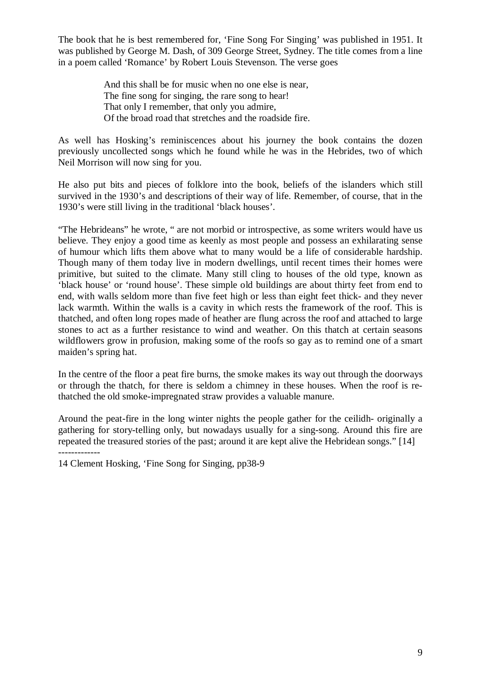The book that he is best remembered for, 'Fine Song For Singing' was published in 1951. It was published by George M. Dash, of 309 George Street, Sydney. The title comes from a line in a poem called 'Romance' by Robert Louis Stevenson. The verse goes

> And this shall be for music when no one else is near, The fine song for singing, the rare song to hear! That only I remember, that only you admire, Of the broad road that stretches and the roadside fire.

As well has Hosking's reminiscences about his journey the book contains the dozen previously uncollected songs which he found while he was in the Hebrides, two of which Neil Morrison will now sing for you.

He also put bits and pieces of folklore into the book, beliefs of the islanders which still survived in the 1930's and descriptions of their way of life. Remember, of course, that in the 1930's were still living in the traditional 'black houses'.

"The Hebrideans" he wrote, " are not morbid or introspective, as some writers would have us believe. They enjoy a good time as keenly as most people and possess an exhilarating sense of humour which lifts them above what to many would be a life of considerable hardship. Though many of them today live in modern dwellings, until recent times their homes were primitive, but suited to the climate. Many still cling to houses of the old type, known as 'black house' or 'round house'. These simple old buildings are about thirty feet from end to end, with walls seldom more than five feet high or less than eight feet thick- and they never lack warmth. Within the walls is a cavity in which rests the framework of the roof. This is thatched, and often long ropes made of heather are flung across the roof and attached to large stones to act as a further resistance to wind and weather. On this thatch at certain seasons wildflowers grow in profusion, making some of the roofs so gay as to remind one of a smart maiden's spring hat.

In the centre of the floor a peat fire burns, the smoke makes its way out through the doorways or through the thatch, for there is seldom a chimney in these houses. When the roof is rethatched the old smoke-impregnated straw provides a valuable manure.

Around the peat-fire in the long winter nights the people gather for the ceilidh- originally a gathering for story-telling only, but nowadays usually for a sing-song. Around this fire are repeated the treasured stories of the past; around it are kept alive the Hebridean songs." [14] -------------

14 Clement Hosking, 'Fine Song for Singing, pp38-9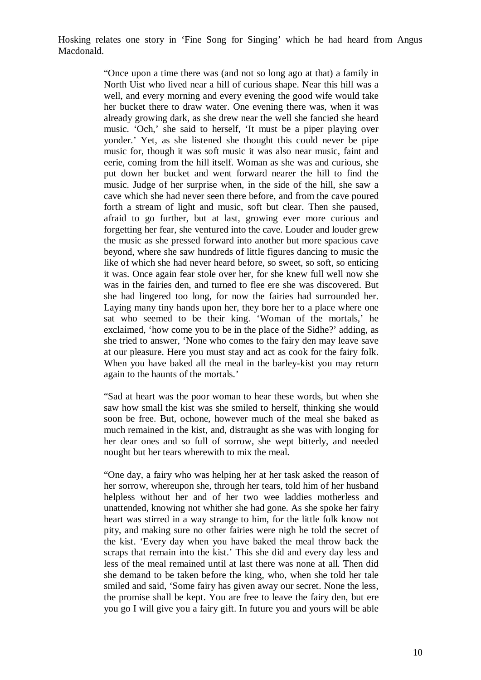Hosking relates one story in 'Fine Song for Singing' which he had heard from Angus Macdonald.

> "Once upon a time there was (and not so long ago at that) a family in North Uist who lived near a hill of curious shape. Near this hill was a well, and every morning and every evening the good wife would take her bucket there to draw water. One evening there was, when it was already growing dark, as she drew near the well she fancied she heard music. 'Och,' she said to herself, 'It must be a piper playing over yonder.' Yet, as she listened she thought this could never be pipe music for, though it was soft music it was also near music, faint and eerie, coming from the hill itself. Woman as she was and curious, she put down her bucket and went forward nearer the hill to find the music. Judge of her surprise when, in the side of the hill, she saw a cave which she had never seen there before, and from the cave poured forth a stream of light and music, soft but clear. Then she paused, afraid to go further, but at last, growing ever more curious and forgetting her fear, she ventured into the cave. Louder and louder grew the music as she pressed forward into another but more spacious cave beyond, where she saw hundreds of little figures dancing to music the like of which she had never heard before, so sweet, so soft, so enticing it was. Once again fear stole over her, for she knew full well now she was in the fairies den, and turned to flee ere she was discovered. But she had lingered too long, for now the fairies had surrounded her. Laying many tiny hands upon her, they bore her to a place where one sat who seemed to be their king. 'Woman of the mortals,' he exclaimed, 'how come you to be in the place of the Sidhe?' adding, as she tried to answer, 'None who comes to the fairy den may leave save at our pleasure. Here you must stay and act as cook for the fairy folk. When you have baked all the meal in the barley-kist you may return again to the haunts of the mortals.'

> "Sad at heart was the poor woman to hear these words, but when she saw how small the kist was she smiled to herself, thinking she would soon be free. But, ochone, however much of the meal she baked as much remained in the kist, and, distraught as she was with longing for her dear ones and so full of sorrow, she wept bitterly, and needed nought but her tears wherewith to mix the meal.

> "One day, a fairy who was helping her at her task asked the reason of her sorrow, whereupon she, through her tears, told him of her husband helpless without her and of her two wee laddies motherless and unattended, knowing not whither she had gone. As she spoke her fairy heart was stirred in a way strange to him, for the little folk know not pity, and making sure no other fairies were nigh he told the secret of the kist. 'Every day when you have baked the meal throw back the scraps that remain into the kist.' This she did and every day less and less of the meal remained until at last there was none at all. Then did she demand to be taken before the king, who, when she told her tale smiled and said, 'Some fairy has given away our secret. None the less, the promise shall be kept. You are free to leave the fairy den, but ere you go I will give you a fairy gift. In future you and yours will be able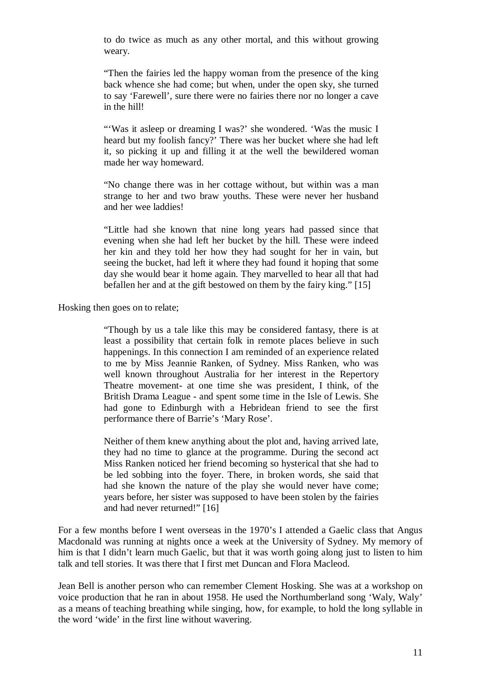to do twice as much as any other mortal, and this without growing weary.

"Then the fairies led the happy woman from the presence of the king back whence she had come; but when, under the open sky, she turned to say 'Farewell', sure there were no fairies there nor no longer a cave in the hill!

"'Was it asleep or dreaming I was?' she wondered. 'Was the music I heard but my foolish fancy?' There was her bucket where she had left it, so picking it up and filling it at the well the bewildered woman made her way homeward.

"No change there was in her cottage without, but within was a man strange to her and two braw youths. These were never her husband and her wee laddies!

"Little had she known that nine long years had passed since that evening when she had left her bucket by the hill. These were indeed her kin and they told her how they had sought for her in vain, but seeing the bucket, had left it where they had found it hoping that some day she would bear it home again. They marvelled to hear all that had befallen her and at the gift bestowed on them by the fairy king." [15]

Hosking then goes on to relate;

"Though by us a tale like this may be considered fantasy, there is at least a possibility that certain folk in remote places believe in such happenings. In this connection I am reminded of an experience related to me by Miss Jeannie Ranken, of Sydney. Miss Ranken, who was well known throughout Australia for her interest in the Repertory Theatre movement- at one time she was president, I think, of the British Drama League - and spent some time in the Isle of Lewis. She had gone to Edinburgh with a Hebridean friend to see the first performance there of Barrie's 'Mary Rose'.

Neither of them knew anything about the plot and, having arrived late, they had no time to glance at the programme. During the second act Miss Ranken noticed her friend becoming so hysterical that she had to be led sobbing into the foyer. There, in broken words, she said that had she known the nature of the play she would never have come; years before, her sister was supposed to have been stolen by the fairies and had never returned!" [16]

For a few months before I went overseas in the 1970's I attended a Gaelic class that Angus Macdonald was running at nights once a week at the University of Sydney. My memory of him is that I didn't learn much Gaelic, but that it was worth going along just to listen to him talk and tell stories. It was there that I first met Duncan and Flora Macleod.

Jean Bell is another person who can remember Clement Hosking. She was at a workshop on voice production that he ran in about 1958. He used the Northumberland song 'Waly, Waly' as a means of teaching breathing while singing, how, for example, to hold the long syllable in the word 'wide' in the first line without wavering.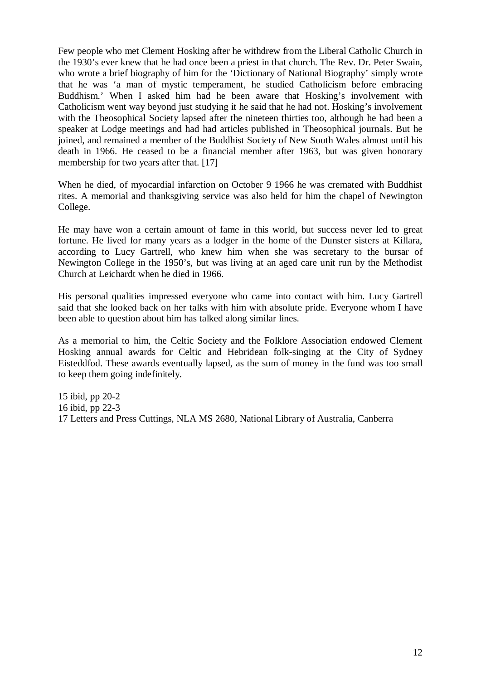Few people who met Clement Hosking after he withdrew from the Liberal Catholic Church in the 1930's ever knew that he had once been a priest in that church. The Rev. Dr. Peter Swain, who wrote a brief biography of him for the 'Dictionary of National Biography' simply wrote that he was 'a man of mystic temperament, he studied Catholicism before embracing Buddhism.' When I asked him had he been aware that Hosking's involvement with Catholicism went way beyond just studying it he said that he had not. Hosking's involvement with the Theosophical Society lapsed after the nineteen thirties too, although he had been a speaker at Lodge meetings and had had articles published in Theosophical journals. But he joined, and remained a member of the Buddhist Society of New South Wales almost until his death in 1966. He ceased to be a financial member after 1963, but was given honorary membership for two years after that. [17]

When he died, of myocardial infarction on October 9 1966 he was cremated with Buddhist rites. A memorial and thanksgiving service was also held for him the chapel of Newington College.

He may have won a certain amount of fame in this world, but success never led to great fortune. He lived for many years as a lodger in the home of the Dunster sisters at Killara, according to Lucy Gartrell, who knew him when she was secretary to the bursar of Newington College in the 1950's, but was living at an aged care unit run by the Methodist Church at Leichardt when he died in 1966.

His personal qualities impressed everyone who came into contact with him. Lucy Gartrell said that she looked back on her talks with him with absolute pride. Everyone whom I have been able to question about him has talked along similar lines.

As a memorial to him, the Celtic Society and the Folklore Association endowed Clement Hosking annual awards for Celtic and Hebridean folk-singing at the City of Sydney Eisteddfod. These awards eventually lapsed, as the sum of money in the fund was too small to keep them going indefinitely.

15 ibid, pp 20-2 16 ibid, pp 22-3 17 Letters and Press Cuttings, NLA MS 2680, National Library of Australia, Canberra